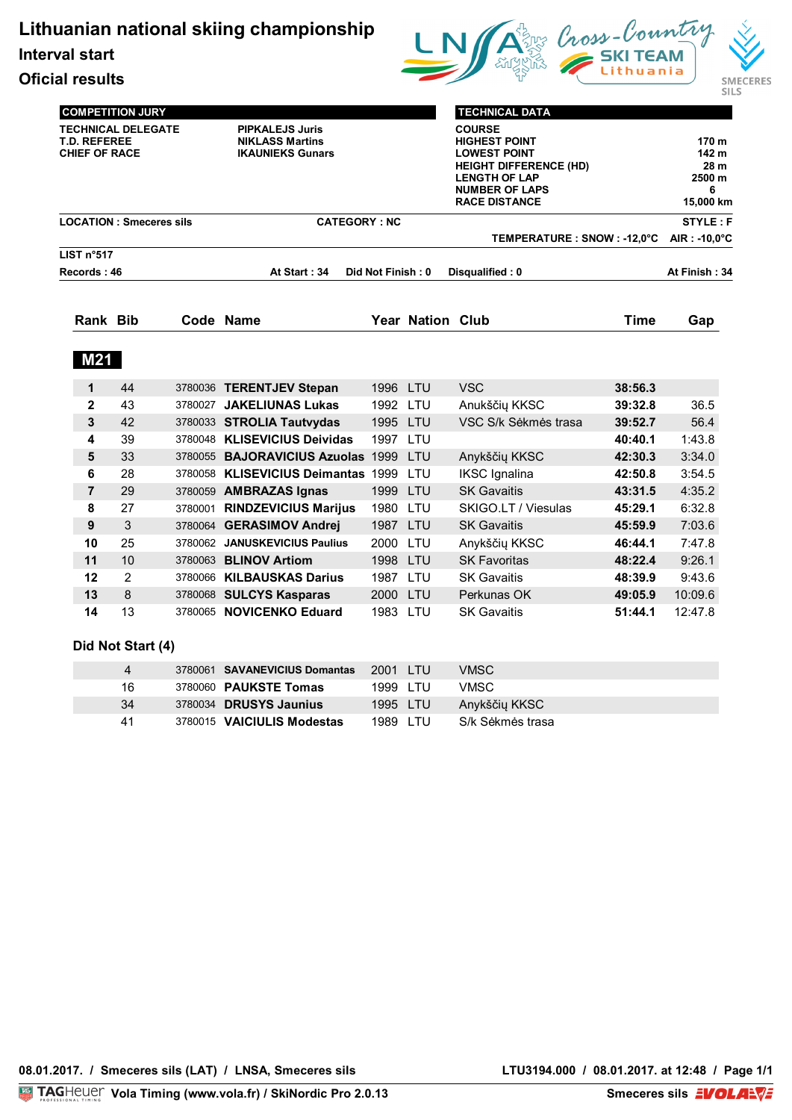**Lithuanian national skiing championship**

**Interval start**

**Oficial results**



|                                                                          | <b>COMPETITION JURY</b>        |                                                                             |                                                           |                      |                  | <b>TECHNICAL DATA</b>                                                                                                                                                  |                    |                                                    |
|--------------------------------------------------------------------------|--------------------------------|-----------------------------------------------------------------------------|-----------------------------------------------------------|----------------------|------------------|------------------------------------------------------------------------------------------------------------------------------------------------------------------------|--------------------|----------------------------------------------------|
| <b>TECHNICAL DELEGATE</b><br><b>T.D. REFEREE</b><br><b>CHIEF OF RACE</b> |                                | <b>PIPKALEJS Juris</b><br><b>NIKLASS Martins</b><br><b>IKAUNIEKS Gunars</b> |                                                           |                      |                  | <b>COURSE</b><br><b>HIGHEST POINT</b><br><b>LOWEST POINT</b><br><b>HEIGHT DIFFERENCE (HD)</b><br><b>LENGTH OF LAP</b><br><b>NUMBER OF LAPS</b><br><b>RACE DISTANCE</b> |                    | 170 m<br>142 m<br>28 m<br>2500 m<br>6<br>15,000 km |
|                                                                          | <b>LOCATION: Smeceres sils</b> |                                                                             | <b>CATEGORY: NC</b>                                       |                      |                  |                                                                                                                                                                        |                    | <b>STYLE: F</b>                                    |
|                                                                          |                                |                                                                             |                                                           |                      |                  | TEMPERATURE : SNOW : -12,0°C                                                                                                                                           |                    | $AIR: -10.0^{\circ}C$                              |
| LIST n°517<br>Records: 46                                                |                                |                                                                             | At Start: 34                                              | Did Not Finish: 0    |                  | Disqualified: 0                                                                                                                                                        |                    | At Finish: 34                                      |
| Rank Bib                                                                 |                                | Code Name                                                                   |                                                           |                      | Year Nation Club |                                                                                                                                                                        | <b>Time</b>        | Gap                                                |
|                                                                          |                                |                                                                             |                                                           |                      |                  |                                                                                                                                                                        |                    |                                                    |
| <b>M21</b><br>1                                                          | 44                             |                                                                             | 3780036 TERENTJEV Stepan                                  | 1996 LTU             |                  | <b>VSC</b>                                                                                                                                                             | 38:56.3            |                                                    |
| $\overline{2}$                                                           | 43                             |                                                                             | 3780027 JAKELIUNAS Lukas                                  | 1992                 | LTU              | Anukščių KKSC                                                                                                                                                          | 39:32.8            | 36.5                                               |
| 3                                                                        | 42                             |                                                                             | 3780033 STROLIA Tautvydas                                 | 1995 LTU             |                  | VSC S/k Sėkmės trasa                                                                                                                                                   | 39:52.7            | 56.4                                               |
| 4                                                                        | 39                             |                                                                             | 3780048 KLISEVICIUS Deividas                              | 1997 LTU             |                  |                                                                                                                                                                        | 40:40.1            | 1:43.8                                             |
| 5                                                                        | 33                             |                                                                             | 3780055 BAJORAVICIUS Azuolas 1999                         |                      | <b>LTU</b>       | Anykščių KKSC                                                                                                                                                          | 42:30.3            | 3:34.0                                             |
| 6                                                                        | 28                             |                                                                             | 3780058 KLISEVICIUS Deimantas 1999                        |                      | LTU              | <b>IKSC</b> Ignalina                                                                                                                                                   | 42:50.8            | 3:54.5                                             |
| $\overline{7}$                                                           | 29                             |                                                                             | 3780059 AMBRAZAS Ignas                                    | 1999 LTU             |                  | <b>SK Gavaitis</b>                                                                                                                                                     | 43:31.5            | 4:35.2                                             |
| 8                                                                        | 27                             |                                                                             | 3780001 RINDZEVICIUS Marijus                              | 1980                 | LTU              | SKIGO.LT / Viesulas                                                                                                                                                    | 45:29.1            | 6:32.8                                             |
| 9                                                                        | 3                              |                                                                             | 3780064 GERASIMOV Andrej                                  | 1987 LTU             |                  | <b>SK Gavaitis</b>                                                                                                                                                     | 45:59.9            | 7:03.6                                             |
| 10                                                                       | 25                             |                                                                             | 3780062 JANUSKEVICIUS Paulius                             | 2000                 | LTU              | Anykščių KKSC                                                                                                                                                          | 46:44.1            | 7:47.8                                             |
| 11<br>12                                                                 | 10<br>2                        |                                                                             | 3780063 <b>BLINOV Artiom</b><br>3780066 KILBAUSKAS Darius | 1998 LTU<br>1987 LTU |                  | <b>SK Favoritas</b><br><b>SK Gavaitis</b>                                                                                                                              | 48:22.4<br>48:39.9 | 9:26.1<br>9:43.6                                   |

## **Did Not Start (4)**

| 4  | 3780061 SAVANEVICIUS Domantas | 2001 LTU | VMSC.            |
|----|-------------------------------|----------|------------------|
| 16 | 3780060 <b>PAUKSTE Tomas</b>  | 1999 LTU | <b>VMSC</b>      |
| 34 | 3780034 <b>DRUSYS Jaunius</b> | 1995 LTU | Anykščių KKSC    |
| 41 | 3780015 VAICIULIS Modestas    | 1989 LTU | S/k Sėkmės trasa |

**14** 13 3780065 **NOVICENKO Eduard** 1983 LTU SK Gavaitis **51:44.1** 12:47.8

**LTU3194.000 / 08.01.2017. at 12:48 / Page 1/1**<br>Smeceres sils **EVOLARVE**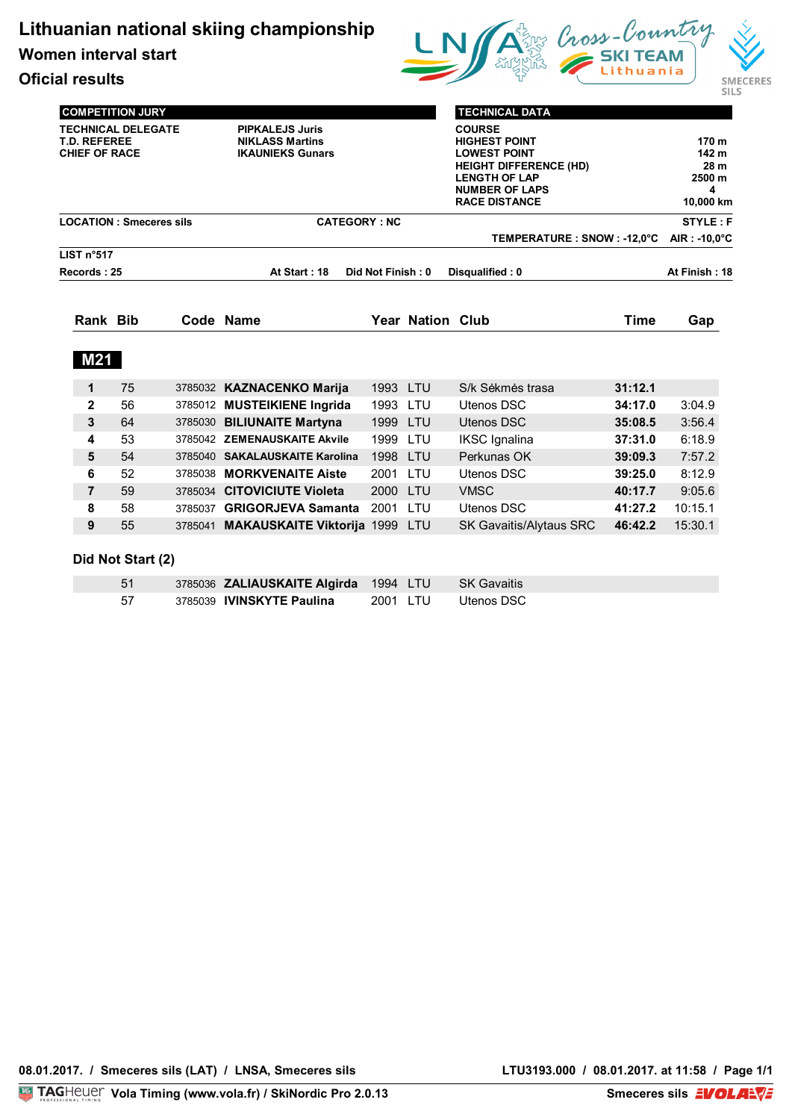**Women interval start**



**Oficial results**

| <b>COMPETITION JURY</b><br><b>TECHNICAL DELEGATE</b><br><b>T.D. REFEREE</b><br><b>CHIEF OF RACE</b> |                                |  | <b>PIPKALEJS Juris</b><br><b>NIKLASS Martins</b><br><b>IKAUNIEKS Gunars</b> |                   |                         | <b>TECHNICAL DATA</b><br><b>COURSE</b><br><b>HIGHEST POINT</b><br><b>LOWEST POINT</b><br><b>HEIGHT DIFFERENCE (HD)</b><br><b>LENGTH OF LAP</b><br><b>NUMBER OF LAPS</b><br><b>RACE DISTANCE</b> |             | 170 m<br>142 m<br>28 m<br>2500 m<br>4<br>10,000 km |
|-----------------------------------------------------------------------------------------------------|--------------------------------|--|-----------------------------------------------------------------------------|-------------------|-------------------------|-------------------------------------------------------------------------------------------------------------------------------------------------------------------------------------------------|-------------|----------------------------------------------------|
|                                                                                                     | <b>LOCATION: Smeceres sils</b> |  | <b>CATEGORY: NC</b>                                                         |                   |                         |                                                                                                                                                                                                 |             | <b>STYLE: F</b>                                    |
| LIST n°517                                                                                          |                                |  |                                                                             |                   |                         | TEMPERATURE : SNOW : -12,0°C                                                                                                                                                                    |             | AIR: -10,0°C                                       |
| Records: 25                                                                                         |                                |  | At Start: 18                                                                | Did Not Finish: 0 |                         | Disqualified: 0                                                                                                                                                                                 |             | At Finish: 18                                      |
|                                                                                                     |                                |  |                                                                             |                   |                         |                                                                                                                                                                                                 | <b>Time</b> |                                                    |
| <b>Rank Bib</b>                                                                                     |                                |  | Code Name                                                                   |                   | <b>Year Nation Club</b> |                                                                                                                                                                                                 |             | Gap                                                |
| <b>M21</b>                                                                                          |                                |  |                                                                             |                   |                         |                                                                                                                                                                                                 |             |                                                    |
| 1                                                                                                   | 75                             |  | 3785032 KAZNACENKO Marija                                                   | 1993 LTU          |                         | S/k Sėkmės trasa                                                                                                                                                                                | 31:12.1     |                                                    |
| $\mathbf{2}$                                                                                        | 56                             |  | 3785012 MUSTEIKIENE Ingrida                                                 | 1993              | LTU                     | <b>Utenos DSC</b>                                                                                                                                                                               | 34:17.0     | 3:04.9                                             |
| 3                                                                                                   | 64                             |  | 3785030 BILIUNAITE Martyna                                                  | 1999 LTU          |                         | Utenos DSC                                                                                                                                                                                      | 35:08.5     | 3:56.4                                             |
| 4                                                                                                   | 53                             |  | 3785042 ZEMENAUSKAITE Akvile                                                | 1999              | LTU                     | <b>IKSC</b> Ignalina                                                                                                                                                                            | 37:31.0     | 6:18.9                                             |
| 5                                                                                                   | 54                             |  | 3785040 SAKALAUSKAITE Karolina                                              | 1998              | <b>LTU</b>              | Perkunas OK                                                                                                                                                                                     | 39:09.3     | 7:57.2                                             |
| 6                                                                                                   | 52                             |  | 3785038 MORKVENAITE Aiste                                                   | 2001 LTU          |                         | Utenos DSC                                                                                                                                                                                      | 39:25.0     | 8:12.9                                             |
| $\overline{7}$                                                                                      | 59                             |  | 3785034 CITOVICIUTE Violeta                                                 | 2000 LTU          |                         | <b>VMSC</b>                                                                                                                                                                                     | 40:17.7     | 9:05.6                                             |
| 8                                                                                                   | 58                             |  | 3785037 GRIGORJEVA Samanta                                                  | 2001 LTU          |                         | <b>Utenos DSC</b>                                                                                                                                                                               | 41:27.2     | 10:15.1                                            |

| .51 | 3785036 <b>ZALIAUSKAITE Algirda</b> 1994 LTU SK Gavaitis |                     |  |
|-----|----------------------------------------------------------|---------------------|--|
| -57 | 3785039 IVINSKYTE Paulina                                | 2001 LTU Utenos DSC |  |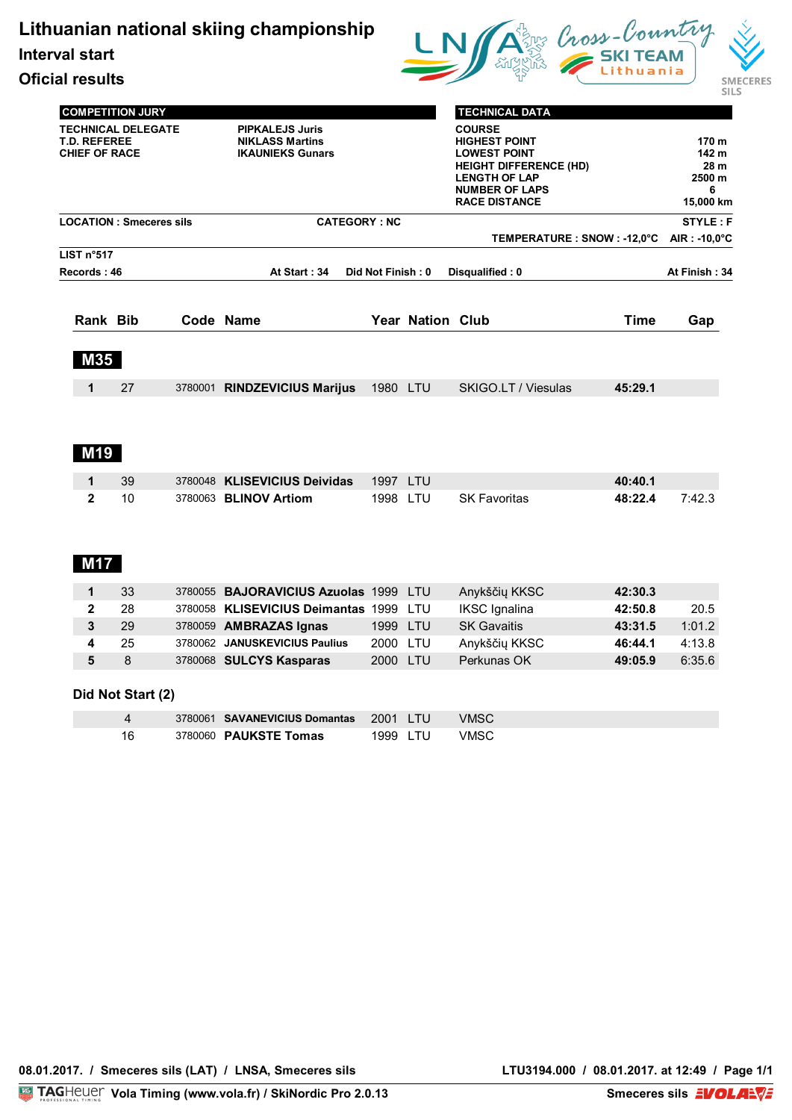**Lithuanian national skiing championship**

**Interval start**

**Oficial results**



|                                |                                                                                                     |  |                                                                             |                   |                  |                                                                                                                                                |             | <b>SILS</b>                      |
|--------------------------------|-----------------------------------------------------------------------------------------------------|--|-----------------------------------------------------------------------------|-------------------|------------------|------------------------------------------------------------------------------------------------------------------------------------------------|-------------|----------------------------------|
|                                | <b>COMPETITION JURY</b><br><b>TECHNICAL DELEGATE</b><br><b>T.D. REFEREE</b><br><b>CHIEF OF RACE</b> |  | <b>PIPKALEJS Juris</b><br><b>NIKLASS Martins</b><br><b>IKAUNIEKS Gunars</b> |                   |                  | <b>TECHNICAL DATA</b><br><b>COURSE</b><br><b>HIGHEST POINT</b><br><b>LOWEST POINT</b><br><b>HEIGHT DIFFERENCE (HD)</b><br><b>LENGTH OF LAP</b> |             | 170 m<br>142 m<br>28 m<br>2500 m |
|                                |                                                                                                     |  |                                                                             |                   |                  | <b>NUMBER OF LAPS</b><br><b>RACE DISTANCE</b>                                                                                                  |             | 6<br>15,000 km                   |
| <b>LOCATION: Smeceres sils</b> |                                                                                                     |  | <b>CATEGORY: NC</b>                                                         |                   |                  |                                                                                                                                                |             | <b>STYLE: F</b>                  |
|                                |                                                                                                     |  |                                                                             |                   |                  | TEMPERATURE : SNOW : -12,0°C                                                                                                                   |             | AIR : -10,0 $^{\circ}$ C         |
| LIST n°517<br>Records: 46      |                                                                                                     |  | At Start: 34                                                                | Did Not Finish: 0 |                  | Disqualified: 0                                                                                                                                |             | At Finish: 34                    |
| Rank Bib                       |                                                                                                     |  | Code Name                                                                   |                   | Year Nation Club |                                                                                                                                                | <b>Time</b> | Gap                              |
| <b>M35</b>                     |                                                                                                     |  |                                                                             |                   |                  |                                                                                                                                                |             |                                  |
| 1                              | 27                                                                                                  |  | 3780001 RINDZEVICIUS Marijus                                                | 1980 LTU          |                  | SKIGO.LT / Viesulas                                                                                                                            | 45:29.1     |                                  |
| <b>M19</b>                     |                                                                                                     |  |                                                                             |                   |                  |                                                                                                                                                |             |                                  |
| 1                              | 39                                                                                                  |  | 3780048 KLISEVICIUS Deividas                                                | 1997 LTU          |                  |                                                                                                                                                | 40:40.1     |                                  |
| $\mathbf{2}$                   | 10                                                                                                  |  | 3780063 BLINOV Artiom                                                       | 1998 LTU          |                  | <b>SK Favoritas</b>                                                                                                                            | 48:22.4     | 7:42.3                           |
| <b>M17</b>                     |                                                                                                     |  |                                                                             |                   |                  |                                                                                                                                                |             |                                  |
| 1                              | 33                                                                                                  |  | 3780055 BAJORAVICIUS Azuolas 1999 LTU                                       |                   |                  | Anykščių KKSC                                                                                                                                  | 42:30.3     |                                  |
| $\mathbf{2}$                   | 28                                                                                                  |  | 3780058 KLISEVICIUS Deimantas 1999                                          |                   | LTU              | <b>IKSC</b> Ignalina                                                                                                                           | 42:50.8     | 20.5                             |
| 3                              | 29                                                                                                  |  | 3780059 AMBRAZAS Ignas                                                      | 1999 LTU          |                  | <b>SK Gavaitis</b>                                                                                                                             | 43:31.5     | 1:01.2                           |

**4** 25 3780062 **JANUSKEVICIUS Paulius** 2000 LTU Anykščių KKSC **46:44.1** 4:13.8 **5** 8 3780068 **SULCYS Kasparas** 2000 LTU Perkunas OK **49:05.9** 6:35.6

## **Did Not Start (2)**

|     | 3780061 <b>SAVANEVICIUS Domantas</b> 2001 TU |          |      |
|-----|----------------------------------------------|----------|------|
| 16. | 3780060 <b>PAUKSTE Tomas</b>                 | 1999 LTU | VMSC |